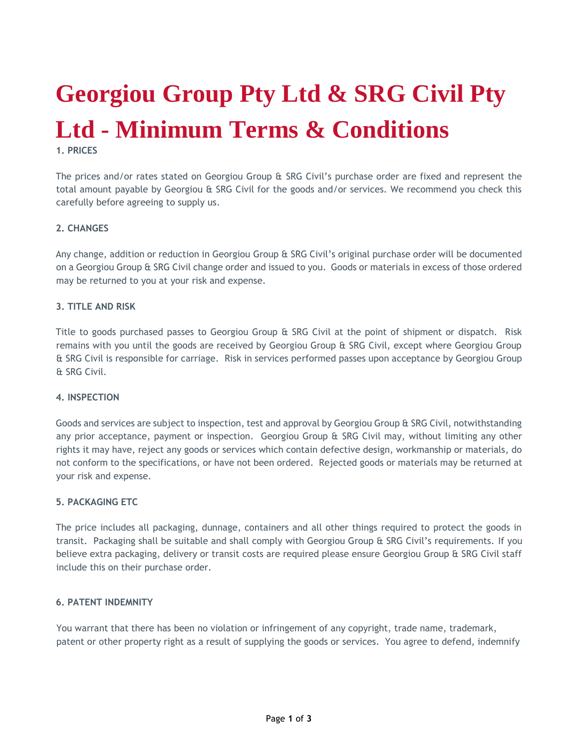# **Georgiou Group Pty Ltd & SRG Civil Pty Ltd - Minimum Terms & Conditions**

**1. PRICES**

The prices and/or rates stated on Georgiou Group & SRG Civil's purchase order are fixed and represent the total amount payable by Georgiou & SRG Civil for the goods and/or services. We recommend you check this carefully before agreeing to supply us.

### **2. CHANGES**

Any change, addition or reduction in Georgiou Group & SRG Civil's original purchase order will be documented on a Georgiou Group & SRG Civil change order and issued to you. Goods or materials in excess of those ordered may be returned to you at your risk and expense.

### **3. TITLE AND RISK**

Title to goods purchased passes to Georgiou Group & SRG Civil at the point of shipment or dispatch. Risk remains with you until the goods are received by Georgiou Group & SRG Civil, except where Georgiou Group & SRG Civil is responsible for carriage. Risk in services performed passes upon acceptance by Georgiou Group & SRG Civil.

#### **4. INSPECTION**

Goods and services are subject to inspection, test and approval by Georgiou Group & SRG Civil, notwithstanding any prior acceptance, payment or inspection. Georgiou Group & SRG Civil may, without limiting any other rights it may have, reject any goods or services which contain defective design, workmanship or materials, do not conform to the specifications, or have not been ordered. Rejected goods or materials may be returned at your risk and expense.

#### **5. PACKAGING ETC**

The price includes all packaging, dunnage, containers and all other things required to protect the goods in transit. Packaging shall be suitable and shall comply with Georgiou Group & SRG Civil's requirements. If you believe extra packaging, delivery or transit costs are required please ensure Georgiou Group & SRG Civil staff include this on their purchase order.

### **6. PATENT INDEMNITY**

You warrant that there has been no violation or infringement of any copyright, trade name, trademark, patent or other property right as a result of supplying the goods or services. You agree to defend, indemnify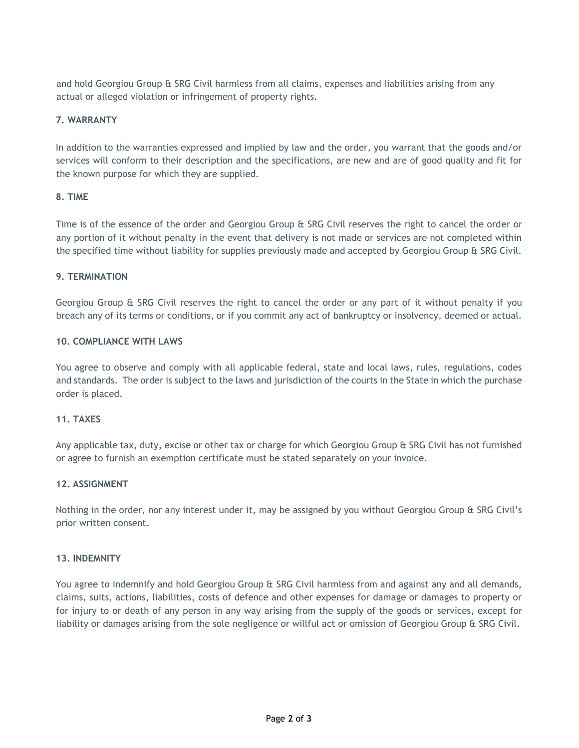and hold Georgiou Group & SRG Civil harmless from all claims, expenses and liabilities arising from any actual or alleged violation or infringement of property rights.

## **7. WARRANTY**

In addition to the warranties expressed and implied by law and the order, you warrant that the goods and/or services will conform to their description and the specifications, are new and are of good quality and fit for the known purpose for which they are supplied.

### **8. TIME**

Time is of the essence of the order and Georgiou Group & SRG Civil reserves the right to cancel the order or any portion of it without penalty in the event that delivery is not made or services are not completed within the specified time without liability for supplies previously made and accepted by Georgiou Group & SRG Civil.

### **9. TERMINATION**

Georgiou Group & SRG Civil reserves the right to cancel the order or any part of it without penalty if you breach any of its terms or conditions, or if you commit any act of bankruptcy or insolvency, deemed or actual.

### **10. COMPLIANCE WITH LAWS**

You agree to observe and comply with all applicable federal, state and local laws, rules, regulations, codes and standards. The order is subject to the laws and jurisdiction of the courts in the State in which the purchase order is placed.

### **11. TAXES**

Any applicable tax, duty, excise or other tax or charge for which Georgiou Group & SRG Civil has not furnished or agree to furnish an exemption certificate must be stated separately on your invoice.

### **12. ASSIGNMENT**

Nothing in the order, nor any interest under it, may be assigned by you without Georgiou Group & SRG Civil's prior written consent.

### **13. INDEMNITY**

You agree to indemnify and hold Georgiou Group & SRG Civil harmless from and against any and all demands, claims, suits, actions, liabilities, costs of defence and other expenses for damage or damages to property or for injury to or death of any person in any way arising from the supply of the goods or services, except for liability or damages arising from the sole negligence or willful act or omission of Georgiou Group & SRG Civil.